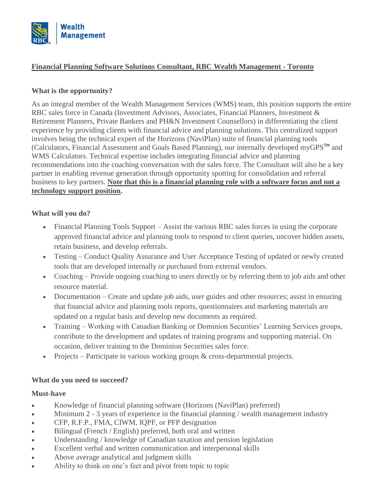

# **Financial Planning Software Solutions Consultant, RBC Wealth Management - Toronto**

### **What is the opportunity?**

As an integral member of the Wealth Management Services (WMS) team, this position supports the entire RBC sales force in Canada (Investment Advisors, Associates, Financial Planners, Investment & Retirement Planners, Private Bankers and PH&N Investment Counsellors) in differentiating the client experience by providing clients with financial advice and planning solutions. This centralized support involves being the technical expert of the Horizons (NaviPlan) suite of financial planning tools (Calculators, Financial Assessment and Goals Based Planning), our internally developed myGPS<sup>TM</sup> and WMS Calculators. Technical expertise includes integrating financial advice and planning recommendations into the coaching conversation with the sales force. The Consultant will also be a key partner in enabling revenue generation through opportunity spotting for consolidation and referral business to key partners. **Note that this is a financial planning role with a software focus and not a technology support position.**

### **What will you do?**

- Financial Planning Tools Support Assist the various RBC sales forces in using the corporate approved financial advice and planning tools to respond to client queries, uncover hidden assets, retain business, and develop referrals.
- Testing Conduct Quality Assurance and User Acceptance Testing of updated or newly created tools that are developed internally or purchased from external vendors.
- Coaching Provide ongoing coaching to users directly or by referring them to job aids and other resource material.
- Documentation Create and update job aids, user guides and other resources; assist in ensuring that financial advice and planning tools reports, questionnaires and marketing materials are updated on a regular basis and develop new documents as required.
- Training Working with Canadian Banking or Dominion Securities' Learning Services groups, contribute to the development and updates of training programs and supporting material. On occasion, deliver training to the Dominion Securities sales force.
- Projects Participate in various working groups & cross-departmental projects.

# **What do you need to succeed?**

#### **Must-have**

- Knowledge of financial planning software (Horizons (NaviPlan) preferred)
- Minimum 2 3 years of experience in the financial planning / wealth management industry
- CFP, R.F.P., FMA, CIWM, IQPF, or PFP designation
- Bilingual (French / English) preferred, both oral and written
- Understanding / knowledge of Canadian taxation and pension legislation
- Excellent verbal and written communication and interpersonal skills
- Above average analytical and judgment skills
- Ability to think on one's feet and pivot from topic to topic